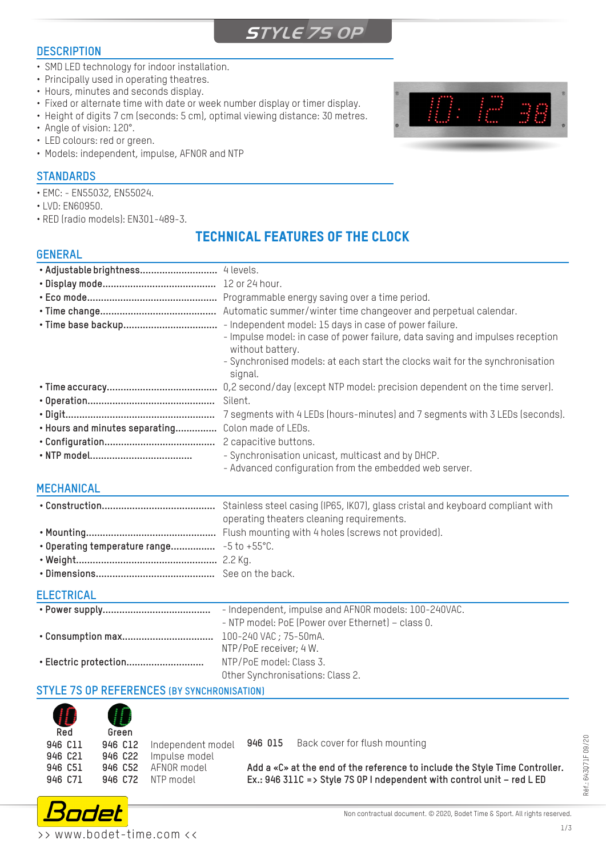# **STYLE 7S OP**

# **DESCRIPTION**

- SMD LED technology for indoor installation.
- Principally used in operating theatres.
- Hours, minutes and seconds display.
- Fixed or alternate time with date or week number display or timer display.
- Height of digits 7 cm (seconds: 5 cm), optimal viewing distance: 30 metres.
- Angle of vision: 120°.
- LED colours: red or green.
- Models: independent, impulse, AFNOR and NTP

#### **STANDARDS**

- EMC: EN55032, EN55024.
- LVD: EN60950.
- RED (radio models): EN301-489-3.

# TECHNICAL FEATURES OF THE CLOCK

#### G

| <b>jENERAL</b>                                                                                              |                                                                                                             |
|-------------------------------------------------------------------------------------------------------------|-------------------------------------------------------------------------------------------------------------|
|                                                                                                             |                                                                                                             |
|                                                                                                             |                                                                                                             |
|                                                                                                             | Programmable energy saving over a time period.                                                              |
|                                                                                                             | Automatic summer/winter time changeover and perpetual calendar.                                             |
| • Time base backup                                                                                          | - Independent model: 15 days in case of power failure.                                                      |
|                                                                                                             | - Impulse model: in case of power failure, data saving and impulses reception<br>without battery.           |
|                                                                                                             | - Synchronised models: at each start the clocks wait for the synchronisation<br>signal.                     |
|                                                                                                             | 0,2 second/day (except NTP model: precision dependent on the time server).                                  |
|                                                                                                             | Silent.                                                                                                     |
|                                                                                                             | 7 segments with 4 LEDs (hours-minutes) and 7 segments with 3 LEDs (seconds).                                |
| • Hours and minutes separating                                                                              | Colon made of LEDs.                                                                                         |
|                                                                                                             | 2 capacitive buttons.                                                                                       |
|                                                                                                             | - Synchronisation unicast, multicast and by DHCP.<br>- Advanced configuration from the embedded web server. |
| $\bf{1}$ $\bf{2}$ $\bf{3}$ $\bf{1}$ $\bf{1}$ $\bf{3}$ $\bf{1}$ $\bf{1}$ $\bf{1}$ $\bf{1}$ $\bf{1}$ $\bf{1}$ |                                                                                                             |

# **MECHANICAL**

| operating theaters cleaning requirements. |
|-------------------------------------------|
|                                           |
|                                           |
|                                           |
|                                           |
|                                           |

# **ELECTRICAL**

|                       | - Independent, impulse and AFNOR models: 100-240VAC. |
|-----------------------|------------------------------------------------------|
|                       | - NTP model: PoE (Power over Ethernet) - class 0.    |
|                       |                                                      |
|                       | NTP/PoE receiver; 4 W.                               |
| • Electric protection | NTP/PoE model: Class 3.                              |
|                       | Other Synchronisations: Class 2.                     |

# **STYLE 7S OP REFERENCES (BY SYNCHRONISATION)**

| H<br>Red                                 | Green |                                                                                                |
|------------------------------------------|-------|------------------------------------------------------------------------------------------------|
| 946 C11<br>946 C21<br>946 C51<br>946 C71 |       | 946 C12 Independent model<br>946 C22 Impulse model<br>946 C52 AFNOR model<br>946 C72 NTP model |

**946 015** Back cover for flush mounting

**Add a «C» at the end of the reference to include the Style Time Controller. Ex.: 946 311C => Style 7S OP I ndependent with control unit – red L ED**



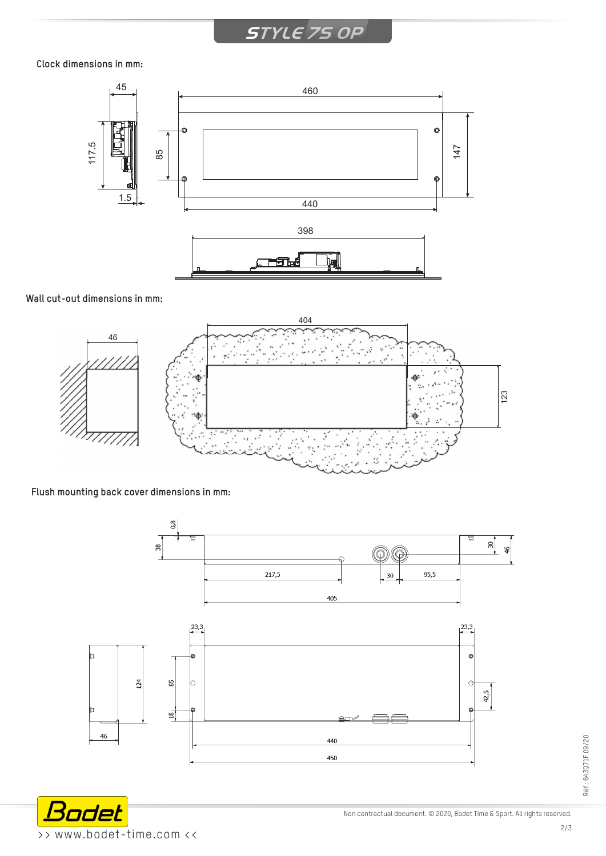# **STYLE 7S OP**

#### **Clock dimensions in mm:**



#### **Wall cut-out dimensions in mm:**



# **Flush mounting back cover dimensions in mm:**





Non contractual document. © 2020, Bodet Time & Sport. All rights reserved.

Réf.: 643Q71F 09/20

Réf.: 643071F 09/20